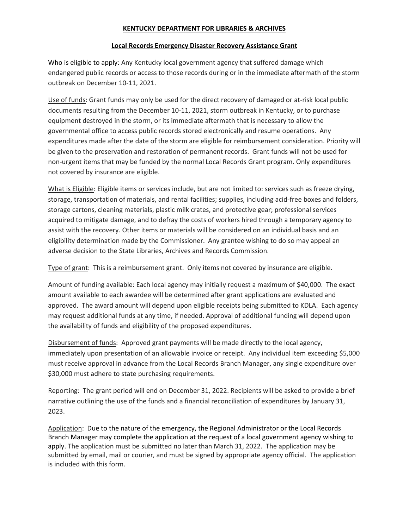### **KENTUCKY DEPARTMENT FOR LIBRARIES & ARCHIVES**

#### **Local Records Emergency Disaster Recovery Assistance Grant**

Who is eligible to apply: Any Kentucky local government agency that suffered damage which endangered public records or access to those records during or in the immediate aftermath of the storm outbreak on December 10-11, 2021.

Use of funds: Grant funds may only be used for the direct recovery of damaged or at-risk local public documents resulting from the December 10-11, 2021, storm outbreak in Kentucky, or to purchase equipment destroyed in the storm, or its immediate aftermath that is necessary to allow the governmental office to access public records stored electronically and resume operations. Any expenditures made after the date of the storm are eligible for reimbursement consideration. Priority will be given to the preservation and restoration of permanent records. Grant funds will not be used for non-urgent items that may be funded by the normal Local Records Grant program. Only expenditures not covered by insurance are eligible.

What is Eligible: Eligible items or services include, but are not limited to: services such as freeze drying, storage, transportation of materials, and rental facilities; supplies, including acid-free boxes and folders, storage cartons, cleaning materials, plastic milk crates, and protective gear; professional services acquired to mitigate damage, and to defray the costs of workers hired through a temporary agency to assist with the recovery. Other items or materials will be considered on an individual basis and an eligibility determination made by the Commissioner. Any grantee wishing to do so may appeal an adverse decision to the State Libraries, Archives and Records Commission.

Type of grant: This is a reimbursement grant. Only items not covered by insurance are eligible.

Amount of funding available: Each local agency may initially request a maximum of \$40,000. The exact amount available to each awardee will be determined after grant applications are evaluated and approved. The award amount will depend upon eligible receipts being submitted to KDLA. Each agency may request additional funds at any time, if needed. Approval of additional funding will depend upon the availability of funds and eligibility of the proposed expenditures.

Disbursement of funds: Approved grant payments will be made directly to the local agency, immediately upon presentation of an allowable invoice or receipt. Any individual item exceeding \$5,000 must receive approval in advance from the Local Records Branch Manager, any single expenditure over \$30,000 must adhere to state purchasing requirements.

Reporting: The grant period will end on December 31, 2022. Recipients will be asked to provide a brief narrative outlining the use of the funds and a financial reconciliation of expenditures by January 31, 2023.

Application: Due to the nature of the emergency, the Regional Administrator or the Local Records Branch Manager may complete the application at the request of a local government agency wishing to apply. The application must be submitted no later than March 31, 2022. The application may be submitted by email, mail or courier, and must be signed by appropriate agency official. The application is included with this form.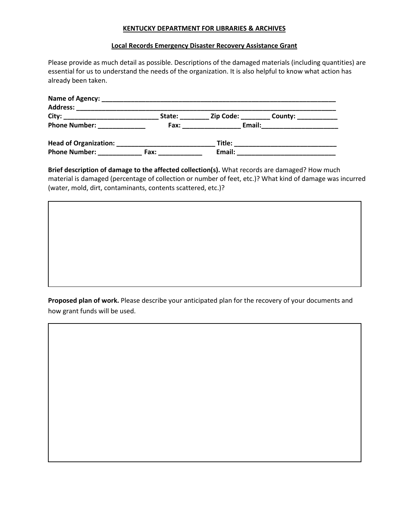#### **KENTUCKY DEPARTMENT FOR LIBRARIES & ARCHIVES**

#### **Local Records Emergency Disaster Recovery Assistance Grant**

Please provide as much detail as possible. Descriptions of the damaged materials (including quantities) are essential for us to understand the needs of the organization. It is also helpful to know what action has already been taken.

| Name of Agency:                                       |        |                  |         |
|-------------------------------------------------------|--------|------------------|---------|
| <b>Address:</b>                                       |        |                  |         |
| City:<br>the control of the control of the control of | State: | <b>Zip Code:</b> | County: |
| <b>Phone Number:</b>                                  | Fax:   | Email:           |         |
| <b>Head of Organization:</b>                          |        | Title:           |         |
| <b>Phone Number:</b>                                  | Fax:   | Email:           |         |

**Brief description of damage to the affected collection(s).** What records are damaged? How much material is damaged (percentage of collection or number of feet, etc.)? What kind of damage was incurred (water, mold, dirt, contaminants, contents scattered, etc.)?

**Proposed plan of work.** Please describe your anticipated plan for the recovery of your documents and how grant funds will be used.